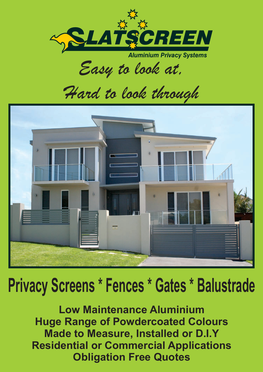

*Easy to look at,*

*Hard to look through*



# **Privacy Screens \* Fences \* Gates \* Balustrade**

 **Low Maintenance Aluminium Huge Range of Powdercoated Colours Made to Measure, Installed or D.I.Y Residential or Commercial Applications Obligation Free Quotes**